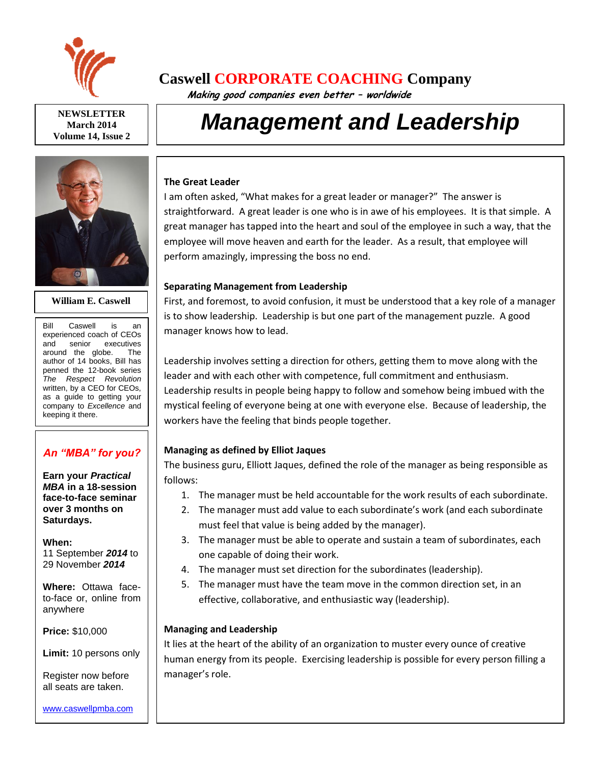

**NEWSLETTER March 2014 Volume 14, Issue 2**



#### **William E. Caswell**

Bill Caswell is an experienced coach of CEOs and senior executives around the globe. The author of 14 books, Bill has penned the 12-book series *The Respect Revolution* written, by a CEO for CEOs, as a guide to getting your company to *Excellence* and keeping it there.

# *An "MBA" for you?*

**Earn your** *Practical MBA* **in a 18-session face-to-face seminar over 3 months on Saturdays.**

**When:**  11 September *2014* to 29 November *2014*

**Where:** Ottawa faceto-face or, online from anywhere

**Price:** \$10,000

**Limit:** 10 persons only

Register now before all seats are taken.

# **Caswell CORPORATE COACHING Company**

 **Making good companies even better – worldwide**

# *Management and Leadership*

#### **The Great Leader**

I am often asked, "What makes for a great leader or manager?" The answer is straightforward. A great leader is one who is in awe of his employees. It is that simple. A great manager has tapped into the heart and soul of the employee in such a way, that the employee will move heaven and earth for the leader. As a result, that employee will perform amazingly, impressing the boss no end.

#### **Separating Management from Leadership**

First, and foremost, to avoid confusion, it must be understood that a key role of a manager is to show leadership. Leadership is but one part of the management puzzle. A good manager knows how to lead.

Leadership involves setting a direction for others, getting them to move along with the leader and with each other with competence, full commitment and enthusiasm. Leadership results in people being happy to follow and somehow being imbued with the mystical feeling of everyone being at one with everyone else. Because of leadership, the workers have the feeling that binds people together.

# **Managing as defined by Elliot Jaques**

The business guru, Elliott Jaques, defined the role of the manager as being responsible as follows:

- 1. The manager must be held accountable for the work results of each subordinate.
- 2. The manager must add value to each subordinate's work (and each subordinate must feel that value is being added by the manager).
- 3. The manager must be able to operate and sustain a team of subordinates, each one capable of doing their work.
- 4. The manager must set direction for the subordinates (leadership).
- 5. The manager must have the team move in the common direction set, in an effective, collaborative, and enthusiastic way (leadership).

# **Managing and Leadership**

It lies at the heart of the ability of an organization to muster every ounce of creative human energy from its people. Exercising leadership is possible for every person filling a manager's role.

[www.caswellpmba.com](http://www.caswellpmba.com/)